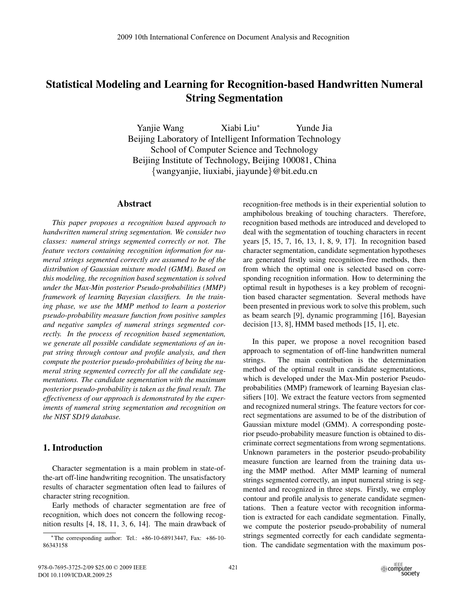# **Statistical Modeling and Learning for Recognition-based Handwritten Numeral String Segmentation**

Yanjie Wang Xiabi Liu<sup>∗</sup> Yunde Jia Beijing Laboratory of Intelligent Information Technology School of Computer Science and Technology Beijing Institute of Technology, Beijing 100081, China *{*wangyanjie, liuxiabi, jiayunde*}*@bit.edu.cn

#### **Abstract**

*This paper proposes a recognition based approach to handwritten numeral string segmentation. We consider two classes: numeral strings segmented correctly or not. The feature vectors containing recognition information for numeral strings segmented correctly are assumed to be of the distribution of Gaussian mixture model (GMM). Based on this modeling, the recognition based segmentation is solved under the Max-Min posterior Pseudo-probabilities (MMP) framework of learning Bayesian classifiers. In the training phase, we use the MMP method to learn a posterior pseudo-probability measure function from positive samples and negative samples of numeral strings segmented correctly. In the process of recognition based segmentation, we generate all possible candidate segmentations of an input string through contour and profile analysis, and then compute the posterior pseudo-probabilities of being the numeral string segmented correctly for all the candidate segmentations. The candidate segmentation with the maximum posterior pseudo-probability is taken as the final result. The effectiveness of our approach is demonstrated by the experiments of numeral string segmentation and recognition on the NIST SD19 database.*

# **1. Introduction**

Character segmentation is a main problem in state-ofthe-art off-line handwriting recognition. The unsatisfactory results of character segmentation often lead to failures of character string recognition.

Early methods of character segmentation are free of recognition, which does not concern the following recognition results [4, 18, 11, 3, 6, 14]. The main drawback of recognition-free methods is in their experiential solution to amphibolous breaking of touching characters. Therefore, recognition based methods are introduced and developed to deal with the segmentation of touching characters in recent years [5, 15, 7, 16, 13, 1, 8, 9, 17]. In recognition based character segmentation, candidate segmentation hypotheses are generated firstly using recognition-free methods, then from which the optimal one is selected based on corresponding recognition information. How to determining the optimal result in hypotheses is a key problem of recognition based character segmentation. Several methods have been presented in previous work to solve this problem, such as beam search [9], dynamic programming [16], Bayesian decision [13, 8], HMM based methods [15, 1], etc.

In this paper, we propose a novel recognition based approach to segmentation of off-line handwritten numeral strings. The main contribution is the determination method of the optimal result in candidate segmentations, which is developed under the Max-Min posterior Pseudoprobabilities (MMP) framework of learning Bayesian classifiers [10]. We extract the feature vectors from segmented and recognized numeral strings. The feature vectors for correct segmentations are assumed to be of the distribution of Gaussian mixture model (GMM). A corresponding posterior pseudo-probability measure function is obtained to discriminate correct segmentations from wrong segmentations. Unknown parameters in the posterior pseudo-probability measure function are learned from the training data using the MMP method. After MMP learning of numeral strings segmented correctly, an input numeral string is segmented and recognized in three steps. Firstly, we employ contour and profile analysis to generate candidate segmentations. Then a feature vector with recognition information is extracted for each candidate segmentation. Finally, we compute the posterior pseudo-probability of numeral strings segmented correctly for each candidate segmentation. The candidate segmentation with the maximum pos-

<sup>∗</sup>The corresponding author: Tel.: +86-10-68913447, Fax: +86-10- 86343158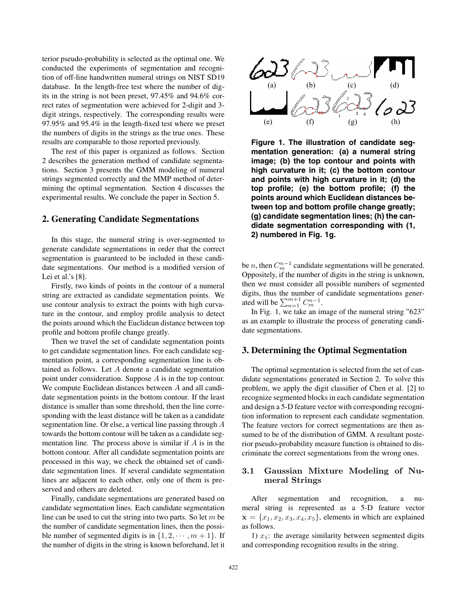terior pseudo-probability is selected as the optimal one. We conducted the experiments of segmentation and recognition of off-line handwritten numeral strings on NIST SD19 database. In the length-free test where the number of digits in the string is not been preset, 97.45% and 94.6% correct rates of segmentation were achieved for 2-digit and 3 digit strings, respectively. The corresponding results were 97.95% and 95.4% in the length-fixed test where we preset the numbers of digits in the strings as the true ones. These results are comparable to those reported previously.

The rest of this paper is organized as follows. Section 2 describes the generation method of candidate segmentations. Section 3 presents the GMM modeling of numeral strings segmented correctly and the MMP method of determining the optimal segmentation. Section 4 discusses the experimental results. We conclude the paper in Section 5.

## **2. Generating Candidate Segmentations**

In this stage, the numeral string is over-segmented to generate candidate segmentations in order that the correct segmentation is guaranteed to be included in these candidate segmentations. Our method is a modified version of Lei et al.'s [8].

Firstly, two kinds of points in the contour of a numeral string are extracted as candidate segmentation points. We use contour analysis to extract the points with high curvature in the contour, and employ profile analysis to detect the points around which the Euclidean distance between top profile and bottom profile change greatly.

Then we travel the set of candidate segmentation points to get candidate segmentation lines. For each candidate segmentation point, a corresponding segmentation line is obtained as follows. Let  $A$  denote a candidate segmentation point under consideration. Suppose A is in the top contour. We compute Euclidean distances between A and all candidate segmentation points in the bottom contour. If the least distance is smaller than some threshold, then the line corresponding with the least distance will be taken as a candidate segmentation line. Or else, a vertical line passing through A towards the bottom contour will be taken as a candidate segmentation line. The process above is similar if A is in the bottom contour. After all candidate segmentation points are processed in this way, we check the obtained set of candidate segmentation lines. If several candidate segmentation lines are adjacent to each other, only one of them is preserved and others are deleted.

Finally, candidate segmentations are generated based on candidate segmentation lines. Each candidate segmentation line can be used to cut the string into two parts. So let  $m$  be the number of candidate segmentation lines, then the possible number of segmented digits is in  $\{1, 2, \dots, m + 1\}$ . If the number of digits in the string is known beforehand, let it



**Figure 1. The illustration of candidate segmentation generation: (a) a numeral string image; (b) the top contour and points with high curvature in it; (c) the bottom contour and points with high curvature in it; (d) the top profile; (e) the bottom profile; (f) the points around which Euclidean distances between top and bottom profile change greatly; (g) candidate segmentation lines; (h) the candidate segmentation corresponding with (1, 2) numbered in Fig. 1g.**

be *n*, then  $C_m^{n-1}$  candidate segmentations will be generated. Oppositely, if the number of digits in the string is unknown, then we must consider all possible numbers of segmented digits, thus the number of candidate segmentations generated will be  $\sum_{n=1}^{m+1} C_m^{n-1}$ .

In Fig. 1, we take an image of the numeral string "623" as an example to illustrate the process of generating candidate segmentations.

## **3. Determining the Optimal Segmentation**

The optimal segmentation is selected from the set of candidate segmentations generated in Section 2. To solve this problem, we apply the digit classifier of Chen et al. [2] to recognize segmented blocks in each candidate segmentation and design a 5-D feature vector with corresponding recognition information to represent each candidate segmentation. The feature vectors for correct segmentations are then assumed to be of the distribution of GMM. A resultant posterior pseudo-probability measure function is obtained to discriminate the correct segmentations from the wrong ones.

## **3.1 Gaussian Mixture Modeling of Numeral Strings**

After segmentation and recognition, a numeral string is represented as a 5-D feature vector  $\mathbf{x} = \{x_1, x_2, x_3, x_4, x_5\}$ , elements in which are explained as follows.

1)  $x_1$ : the average similarity between segmented digits and corresponding recognition results in the string.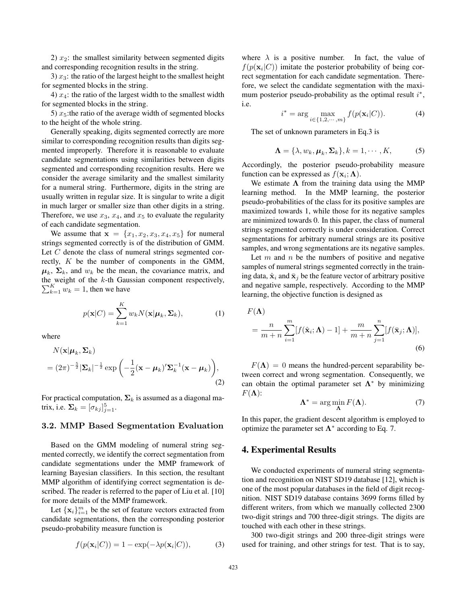2)  $x_2$ : the smallest similarity between segmented digits and corresponding recognition results in the string.

3)  $x_3$ : the ratio of the largest height to the smallest height for segmented blocks in the string.

4)  $x_4$ : the ratio of the largest width to the smallest width for segmented blocks in the string.

5)  $x_5$ : the ratio of the average width of segmented blocks to the height of the whole string.

Generally speaking, digits segmented correctly are more similar to corresponding recognition results than digits segmented improperly. Therefore it is reasonable to evaluate candidate segmentations using similarities between digits segmented and corresponding recognition results. Here we consider the average similarity and the smallest similarity for a numeral string. Furthermore, digits in the string are usually written in regular size. It is singular to write a digit in much larger or smaller size than other digits in a string. Therefore, we use  $x_3$ ,  $x_4$ , and  $x_5$  to evaluate the regularity of each candidate segmentation.

We assume that  $\mathbf{x} = \{x_1, x_2, x_3, x_4, x_5\}$  for numeral strings segmented correctly is of the distribution of GMM. Let C denote the class of numeral strings segmented correctly, K be the number of components in the GMM,  $\mu_k$ ,  $\Sigma_k$ , and  $w_k$  be the mean, the covariance matrix, and the weight of the  $k$ -th Gaussian component respectively,  $\sum_{k=1}^{K} w_k = 1$ , then we have

$$
p(\mathbf{x}|C) = \sum_{k=1}^{K} w_k N(\mathbf{x}|\boldsymbol{\mu}_k, \boldsymbol{\Sigma}_k),
$$
 (1)

where

$$
N(\mathbf{x}|\boldsymbol{\mu}_k, \boldsymbol{\Sigma}_k)
$$
  
=  $(2\pi)^{-\frac{5}{2}} |\boldsymbol{\Sigma}_k|^{-\frac{1}{2}} \exp\left(-\frac{1}{2}(\mathbf{x} - \boldsymbol{\mu}_k)' \boldsymbol{\Sigma}_k^{-1}(\mathbf{x} - \boldsymbol{\mu}_k)\right),$  (2)

For practical computation,  $\Sigma_k$  is assumed as a diagonal matrix, i.e.  $\Sigma_k = [\sigma_{kj}]_{j=1}^5$ .

#### **3.2. MMP Based Segmentation Evaluation**

Based on the GMM modeling of numeral string segmented correctly, we identify the correct segmentation from candidate segmentations under the MMP framework of learning Bayesian classifiers. In this section, the resultant MMP algorithm of identifying correct segmentation is described. The reader is referred to the paper of Liu et al. [10] for more details of the MMP framework.

Let  ${x_i}_{i=1}^m$  be the set of feature vectors extracted from candidate segmentations, then the corresponding posterior pseudo-probability measure function is

$$
f(p(\mathbf{x}_i|C)) = 1 - \exp(-\lambda p(\mathbf{x}_i|C)), \tag{3}
$$

where  $\lambda$  is a positive number. In fact, the value of  $f(p(\mathbf{x}_i|C))$  imitate the posterior probability of being correct segmentation for each candidate segmentation. Therefore, we select the candidate segmentation with the maximum posterior pseudo-probability as the optimal result  $i^*$ , i.e.

$$
i^* = \arg\max_{i \in \{1, 2, \cdots, m\}} f(p(\mathbf{x}_i | C)).
$$
 (4)

The set of unknown parameters in Eq.3 is

$$
\mathbf{\Lambda} = \{\lambda, w_k, \boldsymbol{\mu}_k, \boldsymbol{\Sigma}_k\}, k = 1, \cdots, K,
$$
 (5)

Accordingly, the posterior pseudo-probability measure function can be expressed as  $f(\mathbf{x}_i; \Lambda)$ .

We estimate  $\Lambda$  from the training data using the MMP learning method. In the MMP learning, the posterior pseudo-probabilities of the class for its positive samples are maximized towards 1, while those for its negative samples are minimized towards 0. In this paper, the class of numeral strings segmented correctly is under consideration. Correct segmentations for arbitrary numeral strings are its positive samples, and wrong segmentations are its negative samples.

Let  $m$  and  $n$  be the numbers of positive and negative samples of numeral strings segmented correctly in the training data,  $\hat{\mathbf{x}}_i$  and  $\bar{\mathbf{x}}_j$  be the feature vector of arbitrary positive and negative sample, respectively. According to the MMP learning, the objective function is designed as

$$
F(\mathbf{\Lambda})
$$
  
=  $\frac{n}{m+n} \sum_{i=1}^{m} [f(\hat{\mathbf{x}}_i; \mathbf{\Lambda}) - 1] + \frac{m}{m+n} \sum_{j=1}^{n} [f(\bar{\mathbf{x}}_j; \mathbf{\Lambda})],$  (6)

 $F(\Lambda)=0$  means the hundred-percent separability between correct and wrong segmentation. Consequently, we can obtain the optimal parameter set  $\Lambda^*$  by minimizing  $F(\Lambda)$ :

$$
\Lambda^* = \arg\min_{\Lambda} F(\Lambda). \tag{7}
$$

In this paper, the gradient descent algorithm is employed to optimize the parameter set  $\Lambda^*$  according to Eq. 7.

#### **4. Experimental Results**

We conducted experiments of numeral string segmentation and recognition on NIST SD19 database [12], which is one of the most popular databases in the field of digit recognition. NIST SD19 database contains 3699 forms filled by different writers, from which we manually collected 2300 two-digit strings and 700 three-digit strings. The digits are touched with each other in these strings.

300 two-digit strings and 200 three-digit strings were used for training, and other strings for test. That is to say,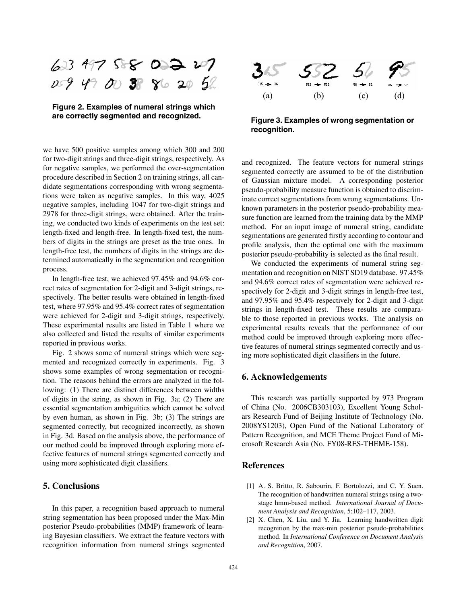623 497 588 022 207 059 49 00 38 86 20 52

**Figure 2. Examples of numeral strings which are correctly segmented and recognized.**

we have 500 positive samples among which 300 and 200 for two-digit strings and three-digit strings, respectively. As for negative samples, we performed the over-segmentation procedure described in Section 2 on training strings, all candidate segmentations corresponding with wrong segmentations were taken as negative samples. In this way, 4025 negative samples, including 1047 for two-digit strings and 2978 for three-digit strings, were obtained. After the training, we conducted two kinds of experiments on the test set: length-fixed and length-free. In length-fixed test, the numbers of digits in the strings are preset as the true ones. In length-free test, the numbers of digits in the strings are determined automatically in the segmentation and recognition process.

In length-free test, we achieved 97.45% and 94.6% correct rates of segmentation for 2-digit and 3-digit strings, respectively. The better results were obtained in length-fixed test, where 97.95% and 95.4% correct rates of segmentation were achieved for 2-digit and 3-digit strings, respectively. These experimental results are listed in Table 1 where we also collected and listed the results of similar experiments reported in previous works.

Fig. 2 shows some of numeral strings which were segmented and recognized correctly in experiments. Fig. 3 shows some examples of wrong segmentation or recognition. The reasons behind the errors are analyzed in the following: (1) There are distinct differences between widths of digits in the string, as shown in Fig. 3a; (2) There are essential segmentation ambiguities which cannot be solved by even human, as shown in Fig. 3b; (3) The strings are segmented correctly, but recognized incorrectly, as shown in Fig. 3d. Based on the analysis above, the performance of our method could be improved through exploring more effective features of numeral strings segmented correctly and using more sophisticated digit classifiers.

# **5. Conclusions**

In this paper, a recognition based approach to numeral string segmentation has been proposed under the Max-Min posterior Pseudo-probabilities (MMP) framework of learning Bayesian classifiers. We extract the feature vectors with recognition information from numeral strings segmented



**Figure 3. Examples of wrong segmentation or recognition.**

and recognized. The feature vectors for numeral strings segmented correctly are assumed to be of the distribution of Gaussian mixture model. A corresponding posterior pseudo-probability measure function is obtained to discriminate correct segmentations from wrong segmentations. Unknown parameters in the posterior pseudo-probability measure function are learned from the training data by the MMP method. For an input image of numeral string, candidate segmentations are generated firstly according to contour and profile analysis, then the optimal one with the maximum posterior pseudo-probability is selected as the final result.

We conducted the experiments of numeral string segmentation and recognition on NIST SD19 database. 97.45% and 94.6% correct rates of segmentation were achieved respectively for 2-digit and 3-digit strings in length-free test, and 97.95% and 95.4% respectively for 2-digit and 3-digit strings in length-fixed test. These results are comparable to those reported in previous works. The analysis on experimental results reveals that the performance of our method could be improved through exploring more effective features of numeral strings segmented correctly and using more sophisticated digit classifiers in the future.

# **6. Acknowledgements**

This research was partially supported by 973 Program of China (No. 2006CB303103), Excellent Young Scholars Research Fund of Beijing Institute of Technology (No. 2008YS1203), Open Fund of the National Laboratory of Pattern Recognition, and MCE Theme Project Fund of Microsoft Research Asia (No. FY08-RES-THEME-158).

## **References**

- [1] A. S. Britto, R. Sabourin, F. Bortolozzi, and C. Y. Suen. The recognition of handwritten numeral strings using a twostage hmm-based method. *International Journal of Document Analysis and Recognition*, 5:102–117, 2003.
- [2] X. Chen, X. Liu, and Y. Jia. Learning handwritten digit recognition by the max-min posterior pseudo-probabilities method. In *International Conference on Document Analysis and Recognition*, 2007.